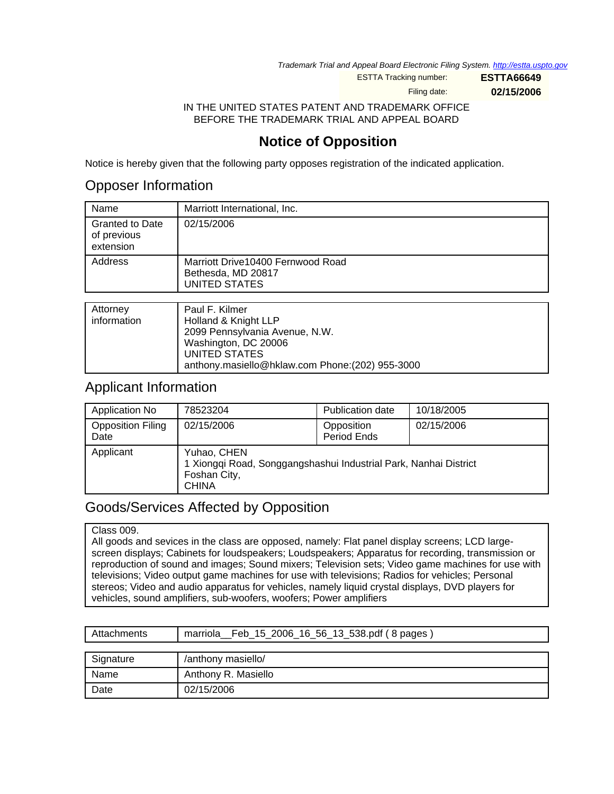Trademark Trial and Appeal Board Electronic Filing System. <http://estta.uspto.gov>

ESTTA Tracking number: **ESTTA66649**

Filing date: **02/15/2006**

IN THE UNITED STATES PATENT AND TRADEMARK OFFICE BEFORE THE TRADEMARK TRIAL AND APPEAL BOARD

## **Notice of Opposition**

Notice is hereby given that the following party opposes registration of the indicated application.

### Opposer Information

| Name                                               | Marriott International, Inc.                                                     |
|----------------------------------------------------|----------------------------------------------------------------------------------|
| <b>Granted to Date</b><br>of previous<br>extension | 02/15/2006                                                                       |
| Address                                            | Marriott Drive 10400 Fernwood Road<br>Bethesda, MD 20817<br><b>UNITED STATES</b> |
|                                                    |                                                                                  |
| Attorney                                           | Paul F. Kilmer                                                                   |
|                                                    |                                                                                  |

| <b>ALCOLLICY</b> | Paul F. Nilliel                                  |
|------------------|--------------------------------------------------|
| information      | Holland & Knight LLP                             |
|                  | 2099 Pennsylvania Avenue, N.W.                   |
|                  | Washington, DC 20006                             |
|                  | UNITED STATES                                    |
|                  | anthony.masiello@hklaw.com Phone: (202) 955-3000 |
|                  |                                                  |

### Applicant Information

| Application No                   | 78523204                                                                                                        | Publication date          | 10/18/2005 |
|----------------------------------|-----------------------------------------------------------------------------------------------------------------|---------------------------|------------|
| <b>Opposition Filing</b><br>Date | 02/15/2006                                                                                                      | Opposition<br>Period Ends | 02/15/2006 |
| Applicant                        | Yuhao, CHEN<br>1 Xiongqi Road, Songgangshashui Industrial Park, Nanhai District<br>Foshan City,<br><b>CHINA</b> |                           |            |

### Goods/Services Affected by Opposition

#### Class 009.

All goods and sevices in the class are opposed, namely: Flat panel display screens; LCD largescreen displays; Cabinets for loudspeakers; Loudspeakers; Apparatus for recording, transmission or reproduction of sound and images; Sound mixers; Television sets; Video game machines for use with televisions; Video output game machines for use with televisions; Radios for vehicles; Personal stereos; Video and audio apparatus for vehicles, namely liquid crystal displays, DVD players for vehicles, sound amplifiers, sub-woofers, woofers; Power amplifiers

| Attachments | marriola Feb 15 2006 16 56 13 538 pdf (8 pages) |
|-------------|-------------------------------------------------|
|             |                                                 |
| Signature   | /anthony masiello/                              |
| Name        | Anthony R. Masiello                             |
| Date        | 02/15/2006                                      |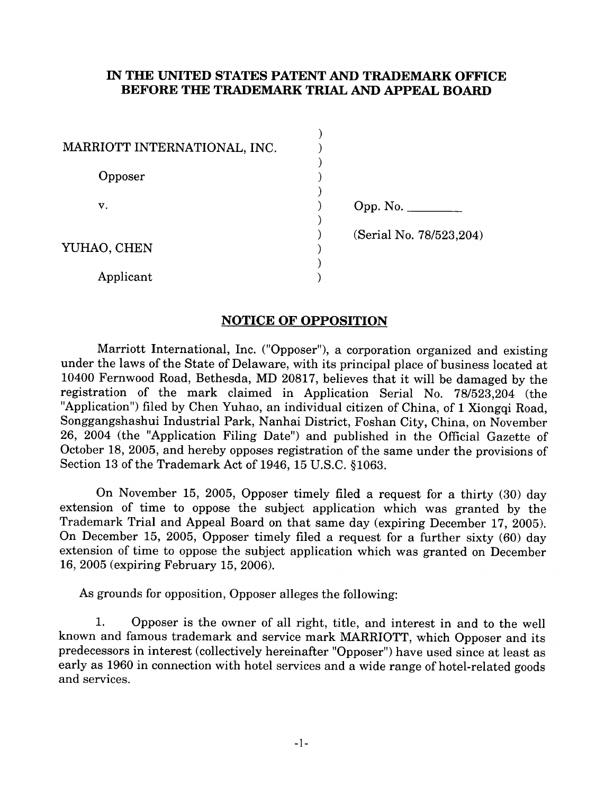### IN THE UNITED STATES PATENT AND TRADEMARK OFFICE BEFORE THE TRADEMARK TRIAL AND APPEAL BOARD

| MARRIOTT INTERNATIONAL, INC. |                         |
|------------------------------|-------------------------|
| Opposer                      |                         |
| v.                           | Opp. No. $\_\_$         |
| YUHAO, CHEN                  | (Serial No. 78/523,204) |
| Applicant                    |                         |

### **NOTICE OF OPPOSITION**

Marriott International, Inc. ("Opposer"), a corporation organized and existing under the laws of the State of Delaware, with its principal place of business located at 10400 Fernwood Road, Bethesda, MD 20817, believes that it will be damaged by the registration of the mark claimed in Application Serial No. 78/523.204 (the "Application") filed by Chen Yuhao, an individual citizen of China, of 1 Xiongqi Road, Songgangshashui Industrial Park, Nanhai District, Foshan City, China, on November 26, 2004 (the "Application Filing Date") and published in the Official Gazette of October 18, 2005, and hereby opposes registration of the same under the provisions of Section 13 of the Trademark Act of 1946, 15 U.S.C. §1063.

On November 15, 2005, Opposer timely filed a request for a thirty (30) day extension of time to oppose the subject application which was granted by the Trademark Trial and Appeal Board on that same day (expiring December 17, 2005). On December 15, 2005, Opposer timely filed a request for a further sixty (60) day extension of time to oppose the subject application which was granted on December 16, 2005 (expiring February 15, 2006).

As grounds for opposition, Opposer alleges the following:

Opposer is the owner of all right, title, and interest in and to the well 1. known and famous trademark and service mark MARRIOTT, which Opposer and its predecessors in interest (collectively hereinafter "Opposer") have used since at least as early as 1960 in connection with hotel services and a wide range of hotel-related goods and services.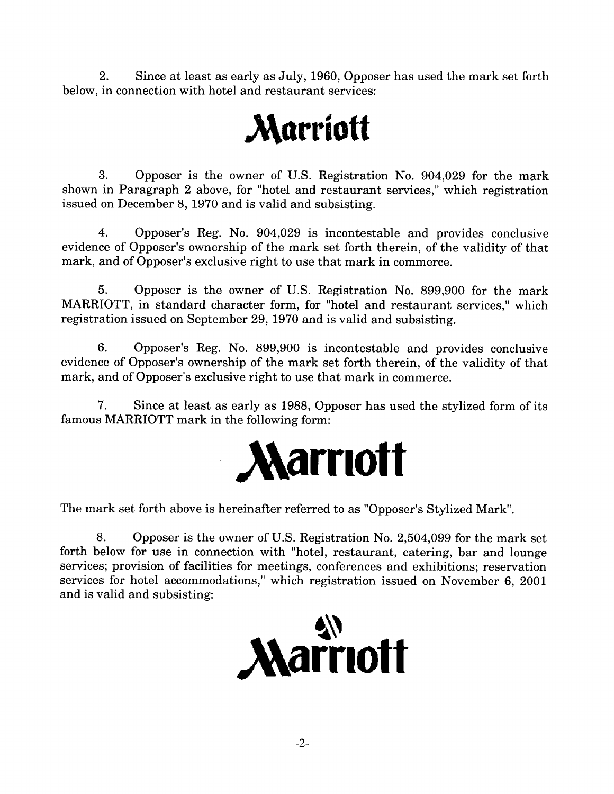$2<sub>1</sub>$ Since at least as early as July, 1960, Opposer has used the mark set forth below, in connection with hotel and restaurant services:

# **Marriott**

 $\mathcal{R}$ . Opposer is the owner of U.S. Registration No. 904,029 for the mark shown in Paragraph 2 above, for "hotel and restaurant services," which registration issued on December 8, 1970 and is valid and subsisting.

 $\overline{4}$ . Opposer's Reg. No. 904,029 is incontestable and provides conclusive evidence of Opposer's ownership of the mark set forth therein, of the validity of that mark, and of Opposer's exclusive right to use that mark in commerce.

 $5.$ Opposer is the owner of U.S. Registration No. 899,900 for the mark MARRIOTT, in standard character form, for "hotel and restaurant services," which registration issued on September 29, 1970 and is valid and subsisting.

6. Opposer's Reg. No. 899,900 is incontestable and provides conclusive evidence of Opposer's ownership of the mark set forth therein, of the validity of that mark, and of Opposer's exclusive right to use that mark in commerce.

7. Since at least as early as 1988, Opposer has used the stylized form of its famous MARRIOTT mark in the following form:



The mark set forth above is hereinafter referred to as "Opposer's Stylized Mark".

8. Opposer is the owner of U.S. Registration No. 2,504,099 for the mark set forth below for use in connection with "hotel, restaurant, catering, bar and lounge services; provision of facilities for meetings, conferences and exhibitions; reservation services for hotel accommodations," which registration issued on November 6, 2001 and is valid and subsisting:

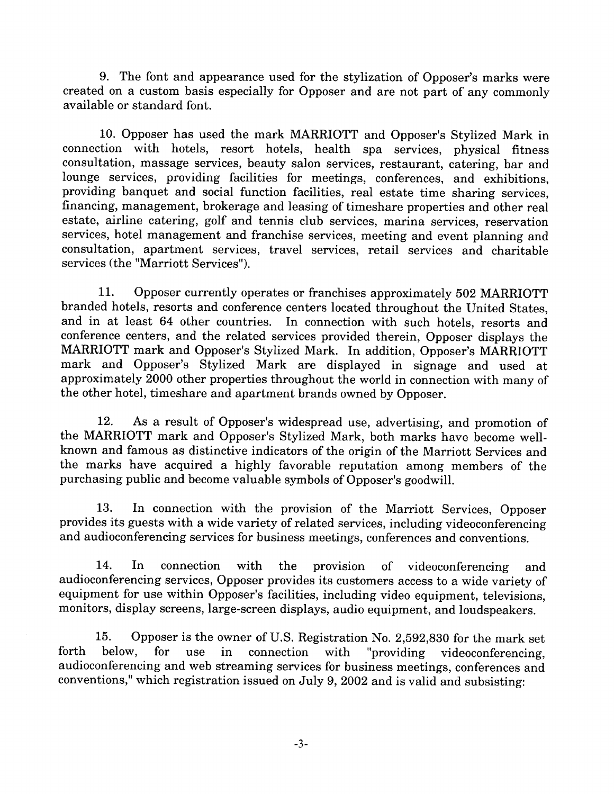9. The font and appearance used for the stylization of Opposer's marks were created on a custom basis especially for Opposer and are not part of any commonly available or standard font.

10. Opposer has used the mark MARRIOTT and Opposer's Stylized Mark in connection with hotels, resort hotels, health spa services, physical fitness consultation, massage services, beauty salon services, restaurant, catering, bar and lounge services, providing facilities for meetings, conferences, and exhibitions, providing banquet and social function facilities, real estate time sharing services, financing, management, brokerage and leasing of timeshare properties and other real estate, airline catering, golf and tennis club services, marina services, reservation services, hotel management and franchise services, meeting and event planning and consultation, apartment services, travel services, retail services and charitable services (the "Marriott Services").

11. Opposer currently operates or franchises approximately 502 MARRIOTT branded hotels, resorts and conference centers located throughout the United States, and in at least 64 other countries. In connection with such hotels, resorts and conference centers, and the related services provided therein, Opposer displays the MARRIOTT mark and Opposer's Stylized Mark. In addition, Opposer's MARRIOTT mark and Opposer's Stylized Mark are displayed in signage and used at approximately 2000 other properties throughout the world in connection with many of the other hotel, timeshare and apartment brands owned by Opposer.

As a result of Opposer's widespread use, advertising, and promotion of 12. the MARRIOTT mark and Opposer's Stylized Mark, both marks have become wellknown and famous as distinctive indicators of the origin of the Marriott Services and the marks have acquired a highly favorable reputation among members of the purchasing public and become valuable symbols of Opposer's goodwill.

13. In connection with the provision of the Marriott Services, Opposer provides its guests with a wide variety of related services, including videoconferencing and audioconferencing services for business meetings, conferences and conventions.

14.  $In$ connection with  $the$ provision of videoconferencing and audioconferencing services, Opposer provides its customers access to a wide variety of equipment for use within Opposer's facilities, including video equipment, televisions, monitors, display screens, large-screen displays, audio equipment, and loudspeakers.

15. Opposer is the owner of U.S. Registration No. 2,592,830 for the mark set forth below. for use in connection with "providing videoconferencing. audioconferencing and web streaming services for business meetings, conferences and conventions," which registration issued on July 9, 2002 and is valid and subsisting: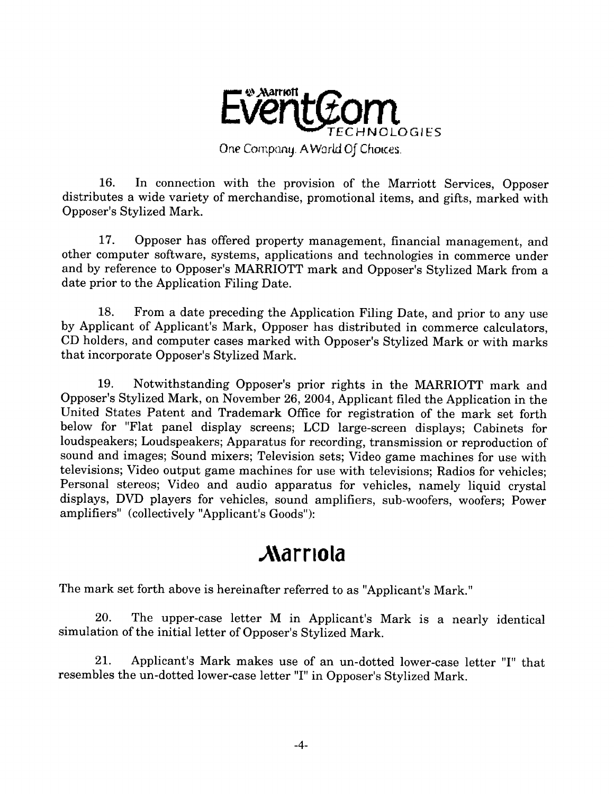

 $16.$ In connection with the provision of the Marriott Services, Opposer distributes a wide variety of merchandise, promotional items, and gifts, marked with Opposer's Stylized Mark.

 $17<sub>1</sub>$ Opposer has offered property management, financial management, and other computer software, systems, applications and technologies in commerce under and by reference to Opposer's MARRIOTT mark and Opposer's Stylized Mark from a date prior to the Application Filing Date.

From a date preceding the Application Filing Date, and prior to any use 18. by Applicant of Applicant's Mark, Opposer has distributed in commerce calculators, CD holders, and computer cases marked with Opposer's Stylized Mark or with marks that incorporate Opposer's Stylized Mark.

19. Notwithstanding Opposer's prior rights in the MARRIOTT mark and Opposer's Stylized Mark, on November 26, 2004, Applicant filed the Application in the United States Patent and Trademark Office for registration of the mark set forth below for "Flat panel display screens; LCD large-screen displays; Cabinets for loudspeakers; Loudspeakers; Apparatus for recording, transmission or reproduction of sound and images; Sound mixers; Television sets; Video game machines for use with televisions; Video output game machines for use with televisions; Radios for vehicles; Personal stereos; Video and audio apparatus for vehicles, namely liquid crystal displays, DVD players for vehicles, sound amplifiers, sub-woofers, woofers; Power amplifiers" (collectively "Applicant's Goods"):

# **Marriola**

The mark set forth above is hereinafter referred to as "Applicant's Mark."

20. The upper-case letter M in Applicant's Mark is a nearly identical simulation of the initial letter of Opposer's Stylized Mark.

Applicant's Mark makes use of an un-dotted lower-case letter "I" that 21. resembles the un-dotted lower-case letter "I" in Opposer's Stylized Mark.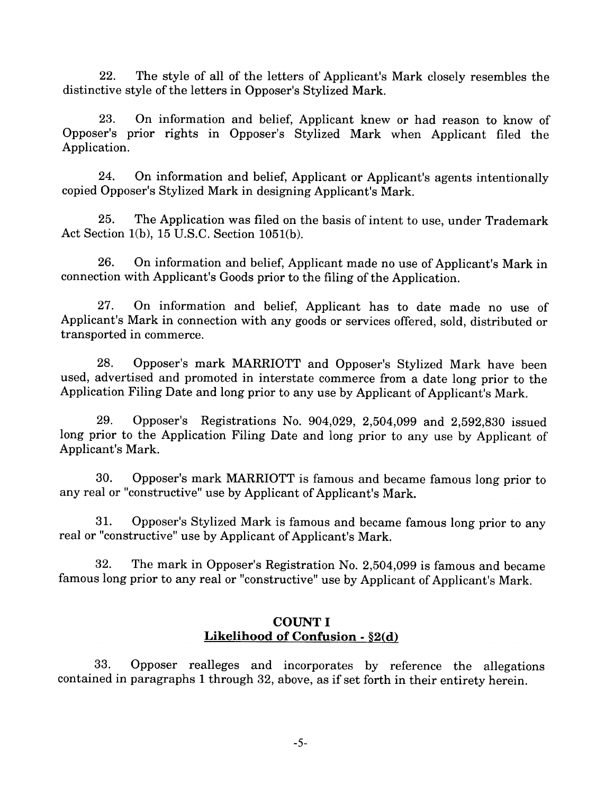22. The style of all of the letters of Applicant's Mark closely resembles the distinctive style of the letters in Opposer's Stylized Mark.

 $23$ On information and belief, Applicant knew or had reason to know of Opposer's prior rights in Opposer's Stylized Mark when Applicant filed the Application.

On information and belief, Applicant or Applicant's agents intentionally  $24$ copied Opposer's Stylized Mark in designing Applicant's Mark.

25. The Application was filed on the basis of intent to use, under Trademark Act Section 1(b), 15 U.S.C. Section 1051(b).

On information and belief, Applicant made no use of Applicant's Mark in 26. connection with Applicant's Goods prior to the filing of the Application.

27. On information and belief, Applicant has to date made no use of Applicant's Mark in connection with any goods or services offered, sold, distributed or transported in commerce.

28. Opposer's mark MARRIOTT and Opposer's Stylized Mark have been used, advertised and promoted in interstate commerce from a date long prior to the Application Filing Date and long prior to any use by Applicant of Applicant's Mark.

Opposer's Registrations No. 904,029, 2,504,099 and 2,592,830 issued 29. long prior to the Application Filing Date and long prior to any use by Applicant of Applicant's Mark.

Opposer's mark MARRIOTT is famous and became famous long prior to 30. any real or "constructive" use by Applicant of Applicant's Mark.

Opposer's Stylized Mark is famous and became famous long prior to any  $31<sub>1</sub>$ real or "constructive" use by Applicant of Applicant's Mark.

The mark in Opposer's Registration No. 2,504,099 is famous and became 32. famous long prior to any real or "constructive" use by Applicant of Applicant's Mark.

### **COUNT I** Likelihood of Confusion  $-$  \$2(d)

33. Opposer realleges and incorporates by reference the allegations contained in paragraphs 1 through 32, above, as if set forth in their entirety herein.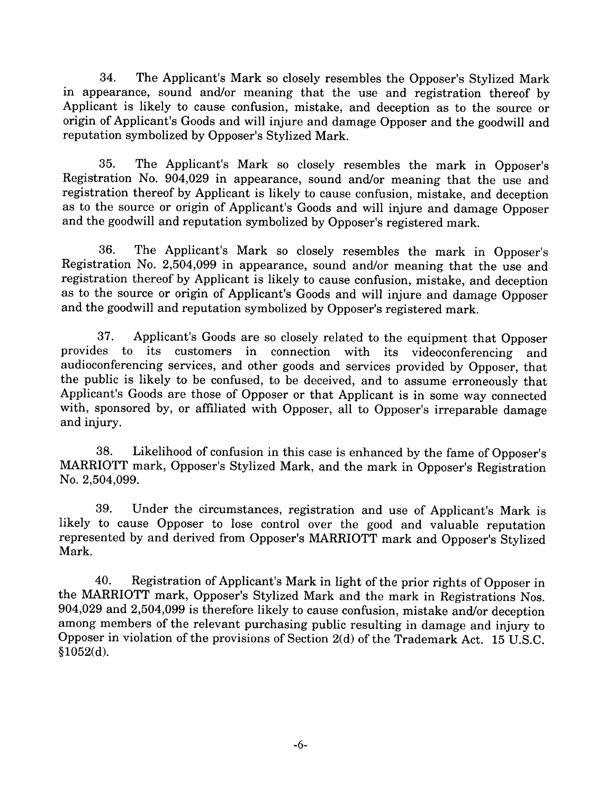34. The Applicant's Mark so closely resembles the Opposer's Stylized Mark in appearance, sound and/or meaning that the use and registration thereof by Applicant is likely to cause confusion, mistake, and deception as to the source or origin of Applicant's Goods and will injure and damage Opposer and the goodwill and reputation symbolized by Opposer's Stylized Mark.

35. The Applicant's Mark so closely resembles the mark in Opposer's Registration No. 904,029 in appearance, sound and/or meaning that the use and registration thereof by Applicant is likely to cause confusion, mistake, and deception as to the source or origin of Applicant's Goods and will injure and damage Opposer and the goodwill and reputation symbolized by Opposer's registered mark.

The Applicant's Mark so closely resembles the mark in Opposer's 36. Registration No. 2,504,099 in appearance, sound and/or meaning that the use and registration thereof by Applicant is likely to cause confusion, mistake, and deception as to the source or origin of Applicant's Goods and will injure and damage Opposer and the goodwill and reputation symbolized by Opposer's registered mark.

Applicant's Goods are so closely related to the equipment that Opposer 37. provides  $\mathbf{t}$ its customers in connection with its videoconferencing and audioconferencing services, and other goods and services provided by Opposer, that the public is likely to be confused, to be deceived, and to assume erroneously that Applicant's Goods are those of Opposer or that Applicant is in some way connected with, sponsored by, or affiliated with Opposer, all to Opposer's irreparable damage and injury.

Likelihood of confusion in this case is enhanced by the fame of Opposer's 38. MARRIOTT mark, Opposer's Stylized Mark, and the mark in Opposer's Registration No. 2,504,099.

39. Under the circumstances, registration and use of Applicant's Mark is likely to cause Opposer to lose control over the good and valuable reputation represented by and derived from Opposer's MARRIOTT mark and Opposer's Stylized Mark.

40. Registration of Applicant's Mark in light of the prior rights of Opposer in the MARRIOTT mark, Opposer's Stylized Mark and the mark in Registrations Nos. 904,029 and 2,504,099 is therefore likely to cause confusion, mistake and/or deception among members of the relevant purchasing public resulting in damage and injury to Opposer in violation of the provisions of Section 2(d) of the Trademark Act. 15 U.S.C.  $$1052(d).$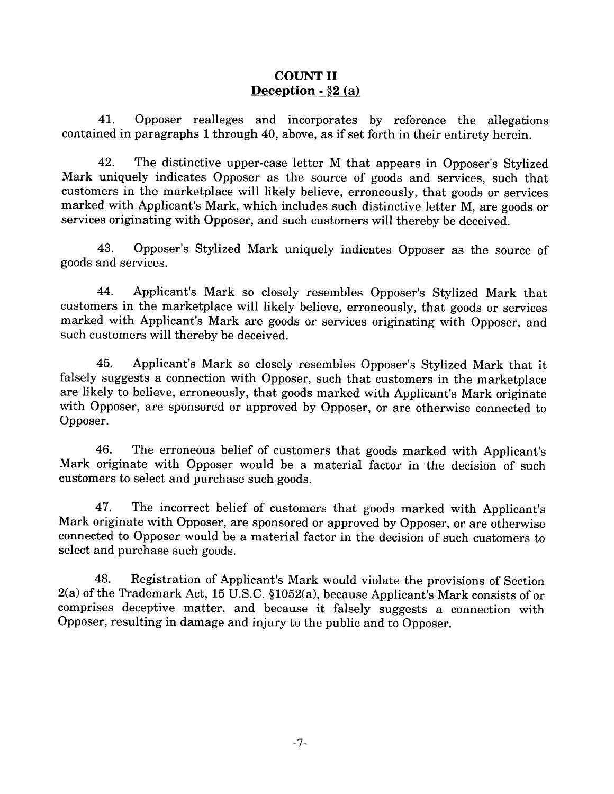### **COUNT II** Deception -  $\S$ 2 (a)

Opposer realleges and incorporates by reference the allegations 41. contained in paragraphs 1 through 40, above, as if set forth in their entirety herein.

42. The distinctive upper-case letter M that appears in Opposer's Stylized Mark uniquely indicates Opposer as the source of goods and services, such that customers in the marketplace will likely believe, erroneously, that goods or services marked with Applicant's Mark, which includes such distinctive letter M, are goods or services originating with Opposer, and such customers will thereby be deceived.

43. Opposer's Stylized Mark uniquely indicates Opposer as the source of goods and services.

44. Applicant's Mark so closely resembles Opposer's Stylized Mark that customers in the marketplace will likely believe, erroneously, that goods or services marked with Applicant's Mark are goods or services originating with Opposer, and such customers will thereby be deceived.

Applicant's Mark so closely resembles Opposer's Stylized Mark that it 45. falsely suggests a connection with Opposer, such that customers in the marketplace are likely to believe, erroneously, that goods marked with Applicant's Mark originate with Opposer, are sponsored or approved by Opposer, or are otherwise connected to Opposer.

The erroneous belief of customers that goods marked with Applicant's 46. Mark originate with Opposer would be a material factor in the decision of such customers to select and purchase such goods.

47. The incorrect belief of customers that goods marked with Applicant's Mark originate with Opposer, are sponsored or approved by Opposer, or are otherwise connected to Opposer would be a material factor in the decision of such customers to select and purchase such goods.

Registration of Applicant's Mark would violate the provisions of Section 48.  $2(a)$  of the Trademark Act, 15 U.S.C. §1052(a), because Applicant's Mark consists of or comprises deceptive matter, and because it falsely suggests a connection with Opposer, resulting in damage and injury to the public and to Opposer.